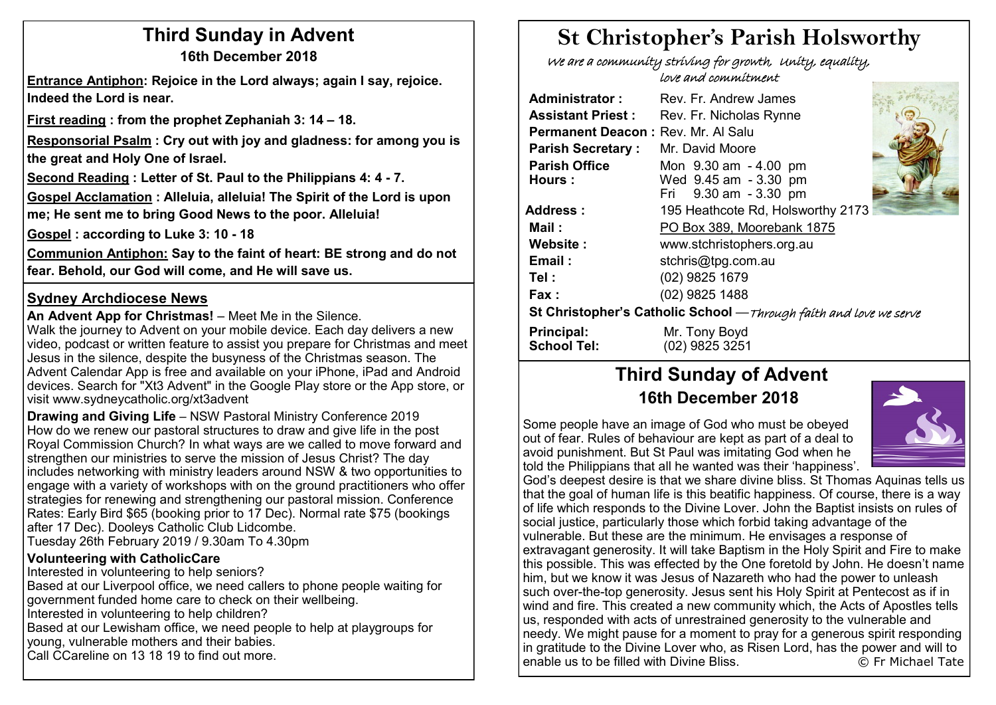### **Third Sunday in Advent 16th December 2018**

**Entrance Antiphon: Rejoice in the Lord always; again I say, rejoice. Indeed the Lord is near.**

**First reading : from the prophet Zephaniah 3: 14 – 18.** 

**Responsorial Psalm : Cry out with joy and gladness: for among you is the great and Holy One of Israel.**

**Second Reading : Letter of St. Paul to the Philippians 4: 4 - 7.**

**Gospel Acclamation : Alleluia, alleluia! The Spirit of the Lord is upon me; He sent me to bring Good News to the poor. Alleluia!**

**Gospel : according to Luke 3: 10 - 18**

**Communion Antiphon: Say to the faint of heart: BE strong and do not fear. Behold, our God will come, and He will save us.**

#### **Sydney Archdiocese News**

**An Advent App for Christmas!** – Meet Me in the Silence.

Walk the journey to Advent on your mobile device. Each day delivers a new video, podcast or written feature to assist you prepare for Christmas and meet Jesus in the silence, despite the busyness of the Christmas season. The Advent Calendar App is free and available on your iPhone, iPad and Android devices. Search for "Xt3 Advent" in the Google Play store or the App store, or visit www.sydneycatholic.org/xt3advent

**Drawing and Giving Life** – NSW Pastoral Ministry Conference 2019 How do we renew our pastoral structures to draw and give life in the post Royal Commission Church? In what ways are we called to move forward and strengthen our ministries to serve the mission of Jesus Christ? The day includes networking with ministry leaders around NSW & two opportunities to engage with a variety of workshops with on the ground practitioners who offer strategies for renewing and strengthening our pastoral mission. Conference Rates: Early Bird \$65 (booking prior to 17 Dec). Normal rate \$75 (bookings after 17 Dec). Dooleys Catholic Club Lidcombe. Tuesday 26th February 2019 / 9.30am To 4.30pm

#### **Volunteering with CatholicCare**

Interested in volunteering to help seniors? Based at our Liverpool office, we need callers to phone people waiting for government funded home care to check on their wellbeing. Interested in volunteering to help children? Based at our Lewisham office, we need people to help at playgroups for young, vulnerable mothers and their babies. Call CCareline on 13 18 19 to find out more.

# **St Christopher's Parish Holsworthy**

 We are a community striving for growth, Unity, equality, love and commitment

| Administrator:                                                    | Rev. Fr. Andrew James                                                   |  |  |
|-------------------------------------------------------------------|-------------------------------------------------------------------------|--|--|
| <b>Assistant Priest:</b>                                          | Rev. Fr. Nicholas Rynne                                                 |  |  |
| Permanent Deacon: Rev. Mr. Al Salu                                |                                                                         |  |  |
| <b>Parish Secretary:</b>                                          | Mr. David Moore                                                         |  |  |
| <b>Parish Office</b><br>Hours:                                    | Mon 9.30 am - 4.00 pm<br>Wed 9.45 am - 3.30 pm<br>Fri 9.30 am - 3.30 pm |  |  |
| Address :                                                         | 195 Heathcote Rd, Holsworthy 2173                                       |  |  |
| Mail :                                                            | PO Box 389, Moorebank 1875                                              |  |  |
| Website:                                                          | www.stchristophers.org.au                                               |  |  |
| Email:                                                            | stchris@tpg.com.au                                                      |  |  |
| Tel :                                                             | (02) 9825 1679                                                          |  |  |
| Fax :                                                             | (02) 9825 1488                                                          |  |  |
| St Christopher's Catholic School -Through faith and love we serve |                                                                         |  |  |
| <b>Principal:</b><br><b>School Tel:</b>                           | Mr. Tony Boyd<br>(02) 9825 3251                                         |  |  |

## **Third Sunday of Advent 16th December 2018**

Some people have an image of God who must be obeyed out of fear. Rules of behaviour are kept as part of a deal to avoid punishment. But St Paul was imitating God when he told the Philippians that all he wanted was their 'happiness'.



God's deepest desire is that we share divine bliss. St Thomas Aquinas tells us that the goal of human life is this beatific happiness. Of course, there is a way of life which responds to the Divine Lover. John the Baptist insists on rules of social justice, particularly those which forbid taking advantage of the vulnerable. But these are the minimum. He envisages a response of extravagant generosity. It will take Baptism in the Holy Spirit and Fire to make this possible. This was effected by the One foretold by John. He doesn't name him, but we know it was Jesus of Nazareth who had the power to unleash such over-the-top generosity. Jesus sent his Holy Spirit at Pentecost as if in wind and fire. This created a new community which, the Acts of Apostles tells us, responded with acts of unrestrained generosity to the vulnerable and needy. We might pause for a moment to pray for a generous spirit responding in gratitude to the Divine Lover who, as Risen Lord, has the power and will to enable us to be filled with Divine Bliss. © Fr Michael Tate